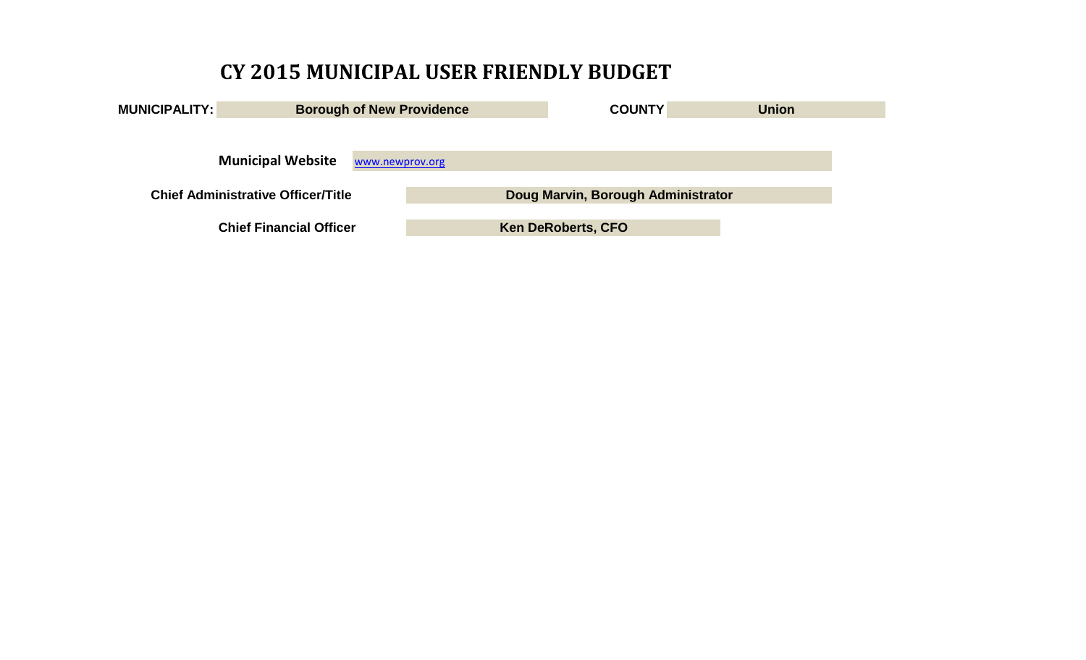# **CY 2015 MUNICIPAL USER FRIENDLY BUDGET**

| <b>MUNICIPALITY:</b>                      | <b>Borough of New Providence</b>            | <b>COUNTY</b>                      | <b>Union</b> |
|-------------------------------------------|---------------------------------------------|------------------------------------|--------------|
|                                           |                                             |                                    |              |
|                                           |                                             |                                    |              |
|                                           | <b>Municipal Website</b><br>www.newprov.org |                                    |              |
| <b>Chief Administrative Officer/Title</b> |                                             | Doug Marvin, Borough Administrator |              |
|                                           |                                             |                                    |              |
|                                           | <b>Chief Financial Officer</b>              | <b>Ken DeRoberts, CFO</b>          |              |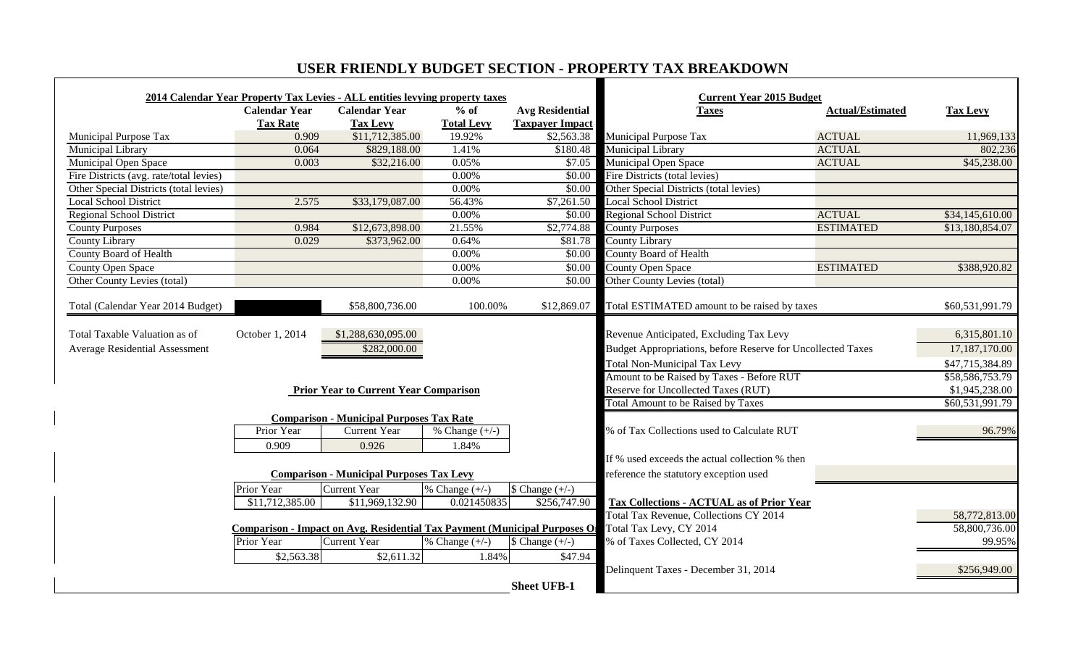# **USER FRIENDLY BUDGET SECTION - PROPERTY TAX BREAKDOWN**

|                                         |                      | 2014 Calendar Year Property Tax Levies - ALL entities levying property taxes      |                   |                           | <b>Current Year 2015 Budget</b>                             |                         |                 |
|-----------------------------------------|----------------------|-----------------------------------------------------------------------------------|-------------------|---------------------------|-------------------------------------------------------------|-------------------------|-----------------|
|                                         | <b>Calendar Year</b> | <b>Calendar Year</b>                                                              | $%$ of            | <b>Avg Residential</b>    | <b>Taxes</b>                                                | <b>Actual/Estimated</b> | <b>Tax Levy</b> |
|                                         | <b>Tax Rate</b>      | <b>Tax Levy</b>                                                                   | <b>Total Levy</b> | <b>Taxpayer Impact</b>    |                                                             |                         |                 |
| Municipal Purpose Tax                   | 0.909                | \$11,712,385.00                                                                   | 19.92%            |                           | \$2,563.38 Municipal Purpose Tax                            | <b>ACTUAL</b>           | 11,969,133      |
| Municipal Library                       | 0.064                | \$829,188.00                                                                      | 1.41%             |                           | \$180.48 Municipal Library                                  | <b>ACTUAL</b>           | 802,236         |
| Municipal Open Space                    | 0.003                | \$32,216.00                                                                       | 0.05%             |                           | \$7.05 Municipal Open Space                                 | <b>ACTUAL</b>           | \$45,238.00     |
| Fire Districts (avg. rate/total levies) |                      |                                                                                   | $0.00\%$          |                           | \$0.00 Fire Districts (total levies)                        |                         |                 |
| Other Special Districts (total levies)  |                      |                                                                                   | 0.00%             |                           | \$0.00 Other Special Districts (total levies)               |                         |                 |
| <b>Local School District</b>            | 2.575                | \$33,179,087.00                                                                   | 56.43%            | \$7,261.50                | <b>Local School District</b>                                |                         |                 |
| Regional School District                |                      |                                                                                   | 0.00%             |                           | \$0.00 Regional School District                             | <b>ACTUAL</b>           | \$34,145,610.00 |
| <b>County Purposes</b>                  | 0.984                | \$12,673,898.00                                                                   | 21.55%            | \$2,774.88                | <b>County Purposes</b>                                      | <b>ESTIMATED</b>        | \$13,180,854.07 |
| County Library                          | 0.029                | \$373,962.00                                                                      | 0.64%             | \$81.78                   | County Library                                              |                         |                 |
| County Board of Health                  |                      |                                                                                   | $0.00\%$          | \$0.00                    | <b>County Board of Health</b>                               |                         |                 |
| <b>County Open Space</b>                |                      |                                                                                   | 0.00%             |                           | \$0.00 County Open Space                                    | <b>ESTIMATED</b>        | \$388,920.82    |
| Other County Levies (total)             |                      |                                                                                   | 0.00%             |                           | \$0.00 Other County Levies (total)                          |                         |                 |
|                                         |                      |                                                                                   |                   |                           |                                                             |                         |                 |
| Total (Calendar Year 2014 Budget)       |                      | \$58,800,736.00                                                                   | 100.00%           |                           | \$12,869.07 Total ESTIMATED amount to be raised by taxes    |                         | \$60,531,991.79 |
| Total Taxable Valuation as of           | October 1, 2014      | \$1,288,630,095.00                                                                |                   |                           | Revenue Anticipated, Excluding Tax Levy                     |                         | 6,315,801.10    |
|                                         |                      |                                                                                   |                   |                           |                                                             |                         |                 |
| <b>Average Residential Assessment</b>   |                      | \$282,000.00                                                                      |                   |                           | Budget Appropriations, before Reserve for Uncollected Taxes |                         | 17,187,170.00   |
|                                         |                      |                                                                                   |                   |                           | <b>Total Non-Municipal Tax Levy</b>                         |                         | \$47,715,384.89 |
|                                         |                      |                                                                                   |                   |                           | Amount to be Raised by Taxes - Before RUT                   |                         | \$58,586,753.79 |
|                                         |                      | <b>Prior Year to Current Year Comparison</b>                                      |                   |                           | Reserve for Uncollected Taxes (RUT)                         |                         | \$1,945,238.00  |
|                                         |                      |                                                                                   |                   |                           | <b>Total Amount to be Raised by Taxes</b>                   |                         | \$60,531,991.79 |
|                                         |                      | <b>Comparison - Municipal Purposes Tax Rate</b>                                   |                   |                           |                                                             |                         |                 |
|                                         | Prior Year           | Current Year                                                                      | % Change $(+/-)$  |                           | % of Tax Collections used to Calculate RUT                  |                         | 96.79%          |
|                                         | 0.909                | 0.926                                                                             | 1.84%             |                           |                                                             |                         |                 |
|                                         |                      |                                                                                   |                   |                           | If % used exceeds the actual collection % then              |                         |                 |
|                                         |                      | <b>Comparison - Municipal Purposes Tax Levy</b>                                   |                   |                           | reference the statutory exception used                      |                         |                 |
|                                         | Prior Year           | <b>Current Year</b>                                                               | % Change $(+/-)$  | $\text{Change } (+/-)$    |                                                             |                         |                 |
|                                         | \$11,712,385.00      | \$11,969,132.90                                                                   | 0.021450835       | \$256,747.90              | Tax Collections - ACTUAL as of Prior Year                   |                         |                 |
|                                         |                      |                                                                                   |                   |                           | <b>Total Tax Revenue, Collections CY 2014</b>               |                         | 58,772,813.00   |
|                                         |                      | <b>Comparison - Impact on Avg. Residential Tax Payment (Municipal Purposes On</b> |                   |                           | Total Tax Levy, CY 2014                                     |                         | 58,800,736.00   |
|                                         | Prior Year           | <b>Current Year</b>                                                               | % Change $(+/-)$  | $\sqrt{\text{Change}(-)}$ | % of Taxes Collected, CY 2014                               |                         | 99.95%          |
|                                         | \$2,563.38           | \$2,611.32                                                                        | 1.84%             | \$47.94                   |                                                             |                         |                 |
|                                         |                      |                                                                                   |                   |                           | Delinquent Taxes - December 31, 2014                        |                         | \$256,949.00    |
|                                         |                      |                                                                                   |                   |                           |                                                             |                         |                 |
|                                         |                      |                                                                                   |                   | <b>Sheet UFB-1</b>        |                                                             |                         |                 |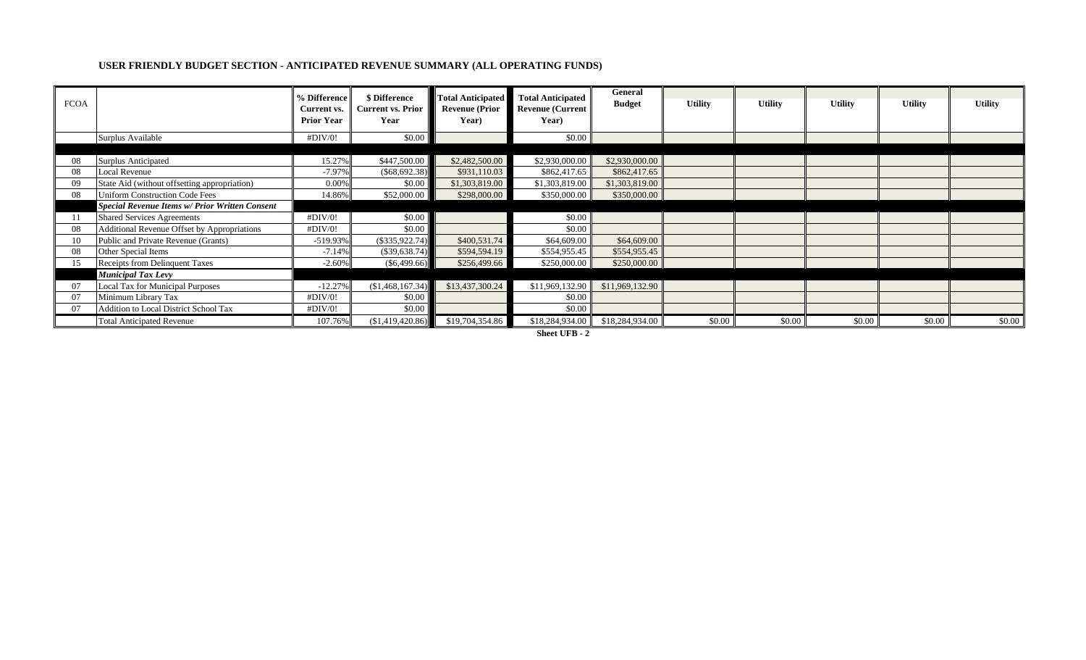#### **USER FRIENDLY BUDGET SECTION - ANTICIPATED REVENUE SUMMARY (ALL OPERATING FUNDS)**

| <b>FCOA</b> |                                                       | % Difference<br>Current vs.<br><b>Prior Year</b> | \$ Difference<br><b>Current vs. Prior</b><br>Year | <b>Total Anticipated</b><br><b>Revenue (Prior</b><br>Year) | <b>Total Anticipated</b><br><b>Revenue (Current</b><br>Year) | General<br><b>Budget</b> | <b>Utility</b> | <b>Utility</b> | <b>Utility</b> | <b>Utility</b> | <b>Utility</b> |
|-------------|-------------------------------------------------------|--------------------------------------------------|---------------------------------------------------|------------------------------------------------------------|--------------------------------------------------------------|--------------------------|----------------|----------------|----------------|----------------|----------------|
|             | Surplus Available                                     | #DIV/0!                                          | \$0.00                                            |                                                            | \$0.00                                                       |                          |                |                |                |                |                |
|             |                                                       |                                                  |                                                   |                                                            |                                                              |                          |                |                |                |                |                |
| 08          | <b>Surplus Anticipated</b>                            | 15.27%                                           | \$447,500.00                                      | \$2,482,500.00                                             | \$2,930,000.00                                               | \$2,930,000.00           |                |                |                |                |                |
| 08          | Local Revenue                                         | $-7.97%$                                         | $(\$68,692.38)$                                   | \$931,110.03                                               | \$862,417.65                                                 | \$862,417.65             |                |                |                |                |                |
| 09          | State Aid (without offsetting appropriation)          | 0.00%                                            | \$0.00                                            | \$1,303,819.00                                             | \$1,303,819.00                                               | \$1,303,819.00           |                |                |                |                |                |
| 08          | <b>Uniform Construction Code Fees</b>                 | 14.86%                                           | \$52,000.00                                       | \$298,000.00                                               | \$350,000.00                                                 | \$350,000.00             |                |                |                |                |                |
|             | <b>Special Revenue Items w/ Prior Written Consent</b> |                                                  |                                                   |                                                            |                                                              |                          |                |                |                |                |                |
|             | <b>Shared Services Agreements</b>                     | #DIV/0!                                          | \$0.00                                            |                                                            | \$0.00                                                       |                          |                |                |                |                |                |
| 08          | Additional Revenue Offset by Appropriations           | #DIV/0!                                          | \$0.00                                            |                                                            | \$0.00                                                       |                          |                |                |                |                |                |
|             | Public and Private Revenue (Grants)                   | $-519.93%$                                       | $(\$335,922.74)$                                  | \$400,531.74                                               | \$64,609.00                                                  | \$64,609.00              |                |                |                |                |                |
| 08          | Other Special Items                                   | $-7.14%$                                         | $(\$39,638.74)$                                   | \$594,594.19                                               | \$554,955.45                                                 | \$554,955.45             |                |                |                |                |                |
| 15          | Receipts from Delinquent Taxes                        | $-2.60%$                                         | $(\$6,499.66)$                                    | \$256,499.66                                               | \$250,000.00                                                 | \$250,000.00             |                |                |                |                |                |
|             | <b>Municipal Tax Levy</b>                             |                                                  |                                                   |                                                            |                                                              |                          |                |                |                |                |                |
| 07          | Local Tax for Municipal Purposes                      | $-12.27%$                                        | (\$1,468,167.34)                                  | \$13,437,300.24                                            | \$11,969,132.90                                              | \$11,969,132.90          |                |                |                |                |                |
| 07          | Minimum Library Tax                                   | #DIV/0!                                          | \$0.00                                            |                                                            | \$0.00                                                       |                          |                |                |                |                |                |
| 07          | Addition to Local District School Tax                 | #DIV/0!                                          | \$0.00                                            |                                                            | \$0.00                                                       |                          |                |                |                |                |                |
|             | <b>Total Anticipated Revenue</b>                      | 107.76%                                          | (\$1,419,420.86)                                  | \$19,704,354.86                                            | \$18,284,934.00                                              | \$18,284,934.00          | \$0.00         | \$0.00         | \$0.00         | \$0.00         | \$0.00         |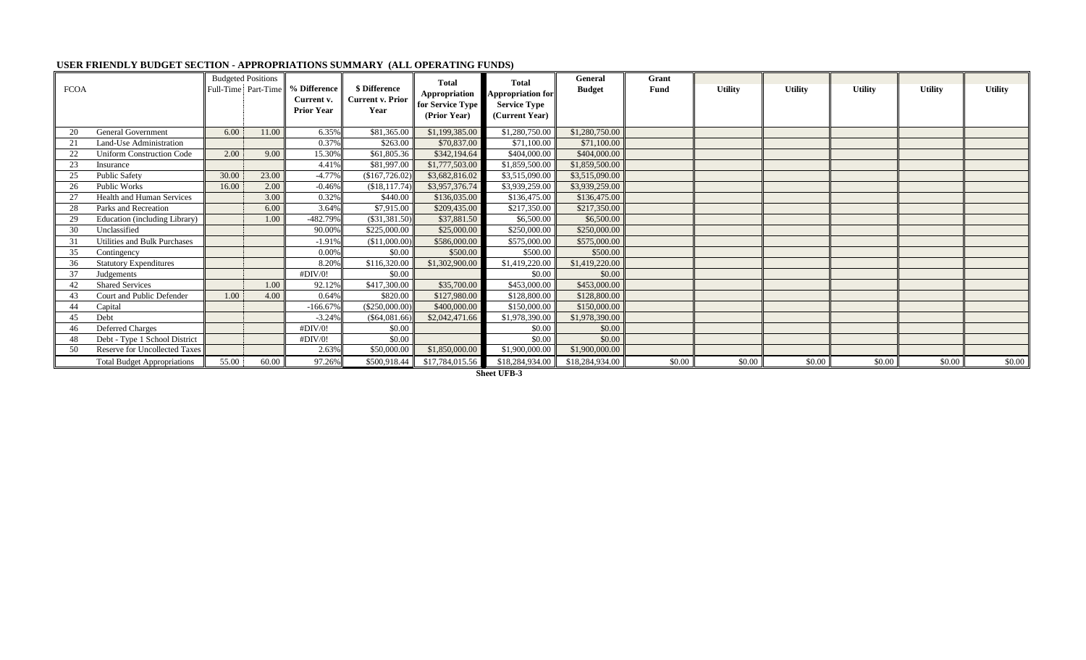| <b>FCOA</b> |                                     |       | <b>Budgeted Positions</b><br>Full-Time Part-Time | % Difference<br>Current v.<br><b>Prior Year</b> | \$ Difference<br><b>Current v. Prior</b><br>Year | <b>Total</b><br>Appropriation<br>for Service Type<br>(Prior Year) | <b>Total</b><br><b>Appropriation for</b><br><b>Service Type</b><br>(Current Year) | General<br><b>Budget</b> | Grant<br>Fund | <b>Utility</b> | <b>Utility</b> | <b>Utility</b> | <b>Utility</b> | <b>Utility</b> |
|-------------|-------------------------------------|-------|--------------------------------------------------|-------------------------------------------------|--------------------------------------------------|-------------------------------------------------------------------|-----------------------------------------------------------------------------------|--------------------------|---------------|----------------|----------------|----------------|----------------|----------------|
| 20          | <b>General Government</b>           | 6.00  | 11.00                                            | 6.35%                                           | \$81,365.00                                      | \$1,199,385.00                                                    | \$1,280,750.00                                                                    | \$1,280,750.00           |               |                |                |                |                |                |
| 21          | Land-Use Administration             |       |                                                  | 0.37%                                           | \$263.00                                         | \$70,837.00                                                       | \$71,100.00                                                                       | \$71,100.00              |               |                |                |                |                |                |
| 22          | <b>Uniform Construction Code</b>    | 2.00  | 9.00                                             | 15.30%                                          | \$61,805.36                                      | \$342,194.64                                                      | \$404,000.00                                                                      | \$404,000.00             |               |                |                |                |                |                |
| 23          | Insurance                           |       |                                                  | 4.41%                                           | \$81,997.00                                      | \$1,777,503.00                                                    | \$1,859,500.00                                                                    | \$1,859,500.00           |               |                |                |                |                |                |
| 25          | <b>Public Safety</b>                | 30.00 | 23.00                                            | $-4.77%$                                        | (\$167,726.02                                    | \$3,682,816.02                                                    | \$3,515,090.00                                                                    | \$3,515,090.00           |               |                |                |                |                |                |
| 26          | Public Works                        | 16.00 | 2.00                                             | $-0.46%$                                        | (\$18,117.74)                                    | \$3,957,376.74                                                    | \$3,939,259.00                                                                    | \$3,939,259.00           |               |                |                |                |                |                |
| 27          | <b>Health and Human Services</b>    |       | 3.00                                             | 0.32%                                           | \$440.00                                         | \$136,035.00                                                      | \$136,475.00                                                                      | \$136,475.00             |               |                |                |                |                |                |
| 28          | Parks and Recreation                |       | 6.00                                             | 3.64%                                           | \$7,915.00                                       | \$209,435.00                                                      | \$217,350.00                                                                      | \$217,350.00             |               |                |                |                |                |                |
| 29          | Education (including Library)       |       | 1.00                                             | -482.79%                                        | $(\$31,381.50)$                                  | \$37,881.50                                                       | \$6,500.00                                                                        | \$6,500.00               |               |                |                |                |                |                |
| 30          | Unclassified                        |       |                                                  | 90.00%                                          | \$225,000.00                                     | \$25,000.00                                                       | \$250,000.00                                                                      | \$250,000.00             |               |                |                |                |                |                |
|             | <b>Utilities and Bulk Purchases</b> |       |                                                  | $-1.91%$                                        | (\$11,000.00)                                    | \$586,000.00                                                      | \$575,000.00                                                                      | \$575,000.00             |               |                |                |                |                |                |
| 35          | Contingency                         |       |                                                  | 0.00%                                           | \$0.00                                           | \$500.00                                                          | \$500.00                                                                          | \$500.00                 |               |                |                |                |                |                |
| 36          | <b>Statutory Expenditures</b>       |       |                                                  | 8.20%                                           | \$116,320.00                                     | \$1,302,900.00                                                    | \$1,419,220.00                                                                    | \$1,419,220.00           |               |                |                |                |                |                |
| 37          | Judgements                          |       |                                                  | #DIV/0!                                         | \$0.00                                           |                                                                   | \$0.00                                                                            | \$0.00                   |               |                |                |                |                |                |
|             | <b>Shared Services</b>              |       | 1.00                                             | 92.12%                                          | \$417,300.00                                     | \$35,700.00                                                       | \$453,000.00                                                                      | \$453,000.00             |               |                |                |                |                |                |
| 43          | Court and Public Defender           | 1.00  | 4.00                                             | 0.64%                                           | \$820.00                                         | \$127,980.00                                                      | \$128,800.00                                                                      | \$128,800.00             |               |                |                |                |                |                |
| 44          | Capital                             |       |                                                  | $-166.67%$                                      | (\$250,000.00)                                   | \$400,000.00                                                      | \$150,000.00                                                                      | \$150,000.00             |               |                |                |                |                |                |
| 45          | Debt                                |       |                                                  | $-3.24%$                                        | $(\$64,081.66)$                                  | \$2,042,471.66                                                    | \$1,978,390.00                                                                    | \$1,978,390.00           |               |                |                |                |                |                |
| 46          | <b>Deferred Charges</b>             |       |                                                  | #DIV/0!                                         | \$0.00                                           |                                                                   | \$0.00                                                                            | \$0.00                   |               |                |                |                |                |                |
|             | Debt - Type 1 School District       |       |                                                  | #DIV/0!                                         | \$0.00                                           |                                                                   | \$0.00                                                                            | \$0.00                   |               |                |                |                |                |                |
| 50          | Reserve for Uncollected Taxes       |       |                                                  | 2.63%                                           | \$50,000.00                                      | \$1,850,000.00                                                    | \$1,900,000.00                                                                    | \$1,900,000.00           |               |                |                |                |                |                |
|             | <b>Total Budget Appropriations</b>  | 55.00 | 60.00                                            | 97.26%                                          |                                                  | $$500,918.44$ \$17,784,015.56                                     | \$18,284,934.00                                                                   | \$18,284,934.00          | \$0.00        | \$0.00         | \$0.00         | \$0.00         | \$0.00         | \$0.00         |

#### **USER FRIENDLY BUDGET SECTION - APPROPRIATIONS SUMMARY (ALL OPERATING FUNDS)**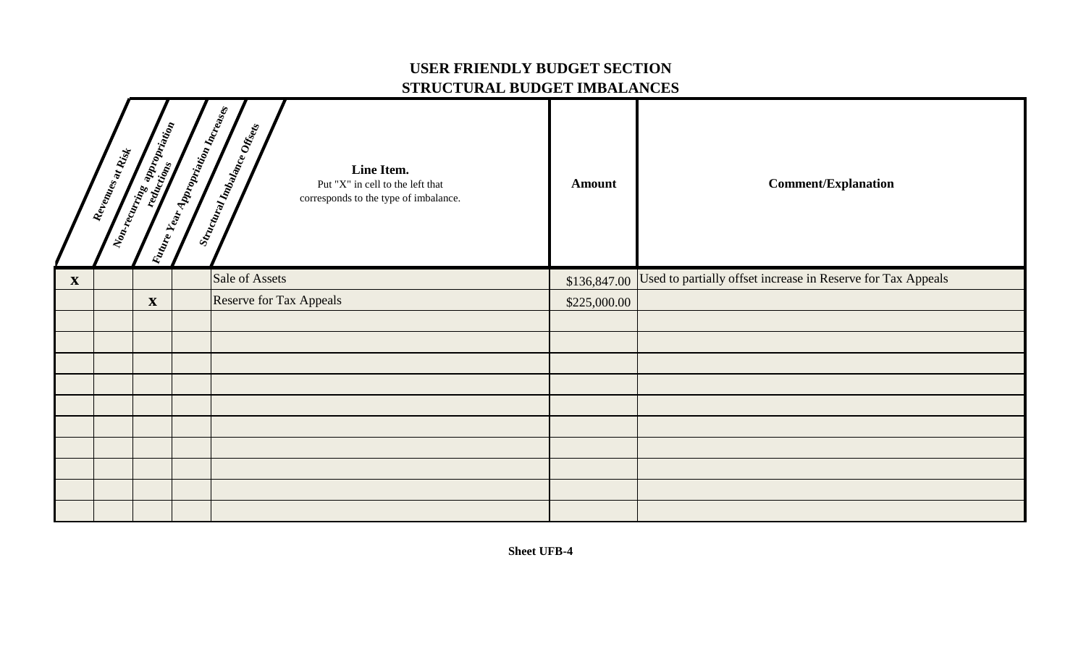### **USER FRIENDLY BUDGET SECTION STRUCTURAL BUDGET IMBALANCES**

|                           | Revenues at Rist | <b>Representation Contract Contract Contract Contract Contract Contract Contract Contract Contract Contract Contract Contract Contract Contract Contract Contract Contract Contract Contract Contract Contract Contract Contract</b> | Valume Year Appropriation Increases | Stractural Indiance Offices<br>Line Item.<br>Put "X" in cell to the left that<br>corresponds to the type of imbalance. | <b>Amount</b> | <b>Comment/Explanation</b>                                   |
|---------------------------|------------------|--------------------------------------------------------------------------------------------------------------------------------------------------------------------------------------------------------------------------------------|-------------------------------------|------------------------------------------------------------------------------------------------------------------------|---------------|--------------------------------------------------------------|
| $\boldsymbol{\mathrm{X}}$ |                  |                                                                                                                                                                                                                                      |                                     | Sale of Assets                                                                                                         | \$136,847.00  | Used to partially offset increase in Reserve for Tax Appeals |
|                           |                  | $\mathbf X$                                                                                                                                                                                                                          |                                     | <b>Reserve for Tax Appeals</b>                                                                                         | \$225,000.00  |                                                              |
|                           |                  |                                                                                                                                                                                                                                      |                                     |                                                                                                                        |               |                                                              |
|                           |                  |                                                                                                                                                                                                                                      |                                     |                                                                                                                        |               |                                                              |
|                           |                  |                                                                                                                                                                                                                                      |                                     |                                                                                                                        |               |                                                              |
|                           |                  |                                                                                                                                                                                                                                      |                                     |                                                                                                                        |               |                                                              |
|                           |                  |                                                                                                                                                                                                                                      |                                     |                                                                                                                        |               |                                                              |
|                           |                  |                                                                                                                                                                                                                                      |                                     |                                                                                                                        |               |                                                              |
|                           |                  |                                                                                                                                                                                                                                      |                                     |                                                                                                                        |               |                                                              |
|                           |                  |                                                                                                                                                                                                                                      |                                     |                                                                                                                        |               |                                                              |
|                           |                  |                                                                                                                                                                                                                                      |                                     |                                                                                                                        |               |                                                              |
|                           |                  |                                                                                                                                                                                                                                      |                                     |                                                                                                                        |               |                                                              |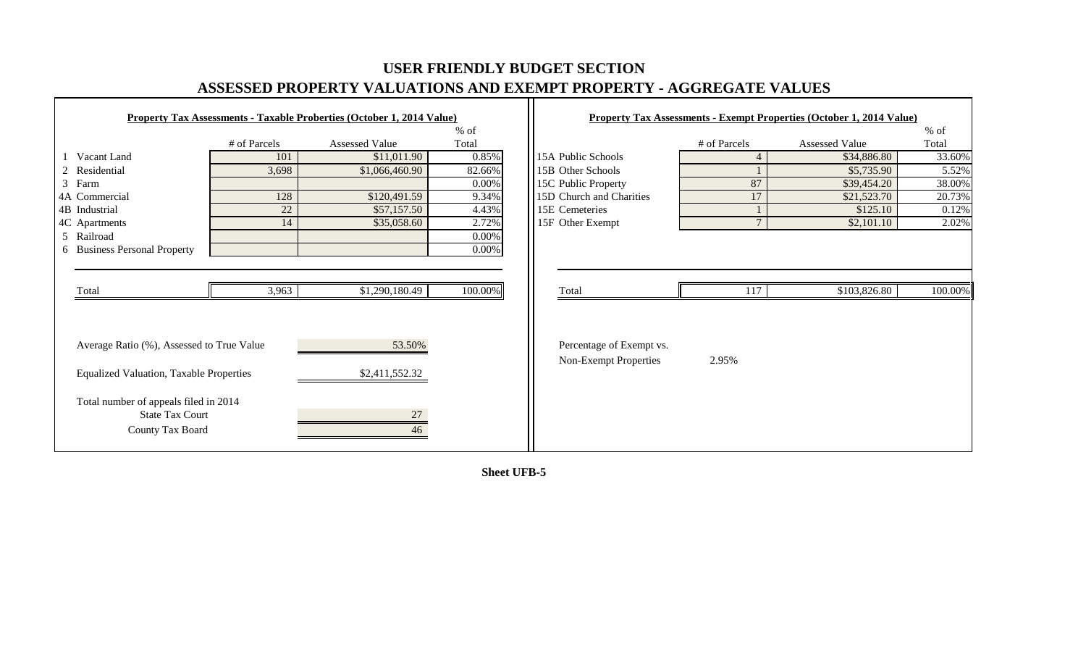# **USER FRIENDLY BUDGET SECTION ASSESSED PROPERTY VALUATIONS AND EXEMPT PROPERTY - AGGREGATE VALUES**

 $\Gamma$ 

|                                                |              | <b>Property Tax Assessments - Taxable Proberties (October 1, 2014 Value)</b> |         |                          |              | <b>Property Tax Assessments - Exempt Properties (October 1, 2014 Value)</b> |         |
|------------------------------------------------|--------------|------------------------------------------------------------------------------|---------|--------------------------|--------------|-----------------------------------------------------------------------------|---------|
|                                                |              |                                                                              | $%$ of  |                          |              |                                                                             | $%$ of  |
|                                                | # of Parcels | <b>Assessed Value</b>                                                        | Total   |                          | # of Parcels | Assessed Value                                                              | Total   |
| Vacant Land                                    | 101          | \$11,011.90                                                                  | 0.85%   | 15A Public Schools       | 4            | \$34,886.80                                                                 | 33.60%  |
| 2 Residential                                  | 3,698        | \$1,066,460.90                                                               | 82.66%  | 15B Other Schools        |              | \$5,735.90                                                                  | 5.52%   |
| 3 Farm                                         |              |                                                                              | 0.00%   | 15C Public Property      | 87           | \$39,454.20                                                                 | 38.00%  |
| 4A Commercial                                  | 128          | \$120,491.59                                                                 | 9.34%   | 15D Church and Charities | 17           | \$21,523.70                                                                 | 20.73%  |
| 4B Industrial                                  | 22           | \$57,157.50                                                                  | 4.43%   | 15E Cemeteries           |              | \$125.10                                                                    | 0.12%   |
| 4C Apartments                                  | 14           | \$35,058.60                                                                  | 2.72%   | 15F Other Exempt         | $\mathbf{r}$ | \$2,101.10                                                                  | 2.02%   |
| 5 Railroad                                     |              |                                                                              | 0.00%   |                          |              |                                                                             |         |
| 6 Business Personal Property                   |              |                                                                              | 0.00%   |                          |              |                                                                             |         |
|                                                |              |                                                                              |         |                          |              |                                                                             |         |
|                                                |              |                                                                              |         |                          |              |                                                                             |         |
| Total                                          | 3,963        | \$1,290,180.49                                                               | 100.00% | Total                    | 117          | \$103,826.80                                                                | 100.00% |
|                                                |              |                                                                              |         |                          |              |                                                                             |         |
|                                                |              |                                                                              |         |                          |              |                                                                             |         |
|                                                |              |                                                                              |         |                          |              |                                                                             |         |
| Average Ratio (%), Assessed to True Value      |              | 53.50%                                                                       |         | Percentage of Exempt vs. |              |                                                                             |         |
|                                                |              |                                                                              |         | Non-Exempt Properties    | 2.95%        |                                                                             |         |
| <b>Equalized Valuation, Taxable Properties</b> |              | \$2,411,552.32                                                               |         |                          |              |                                                                             |         |
| Total number of appeals filed in 2014          |              |                                                                              |         |                          |              |                                                                             |         |
| <b>State Tax Court</b>                         |              | 27                                                                           |         |                          |              |                                                                             |         |
| County Tax Board                               |              | 46                                                                           |         |                          |              |                                                                             |         |
|                                                |              |                                                                              |         |                          |              |                                                                             |         |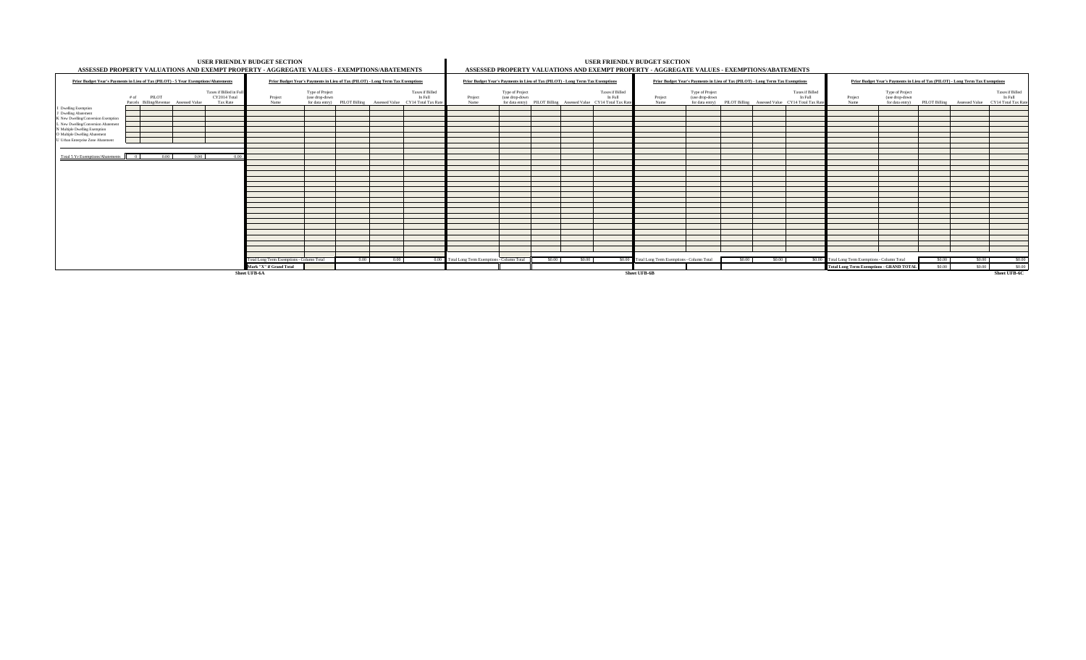| ASSESSED PROPERTY VALUATIONS AND EXEMPT PROPERTY - AGGREGATE VALUES - EXEMPTIONS/ABATEMENTS                                                   | USER FRIENDLY BUDGET SECTION                   |                                                                                |      |      |                                                                                                |                                                                                |                                   |        |        |                                                                                               | <b>USER FRIENDLY BUDGET SECTION</b><br>ASSESSED PROPERTY VALUATIONS AND EXEMPT PROPERTY - AGGREGATE VALUES - EXEMPTIONS/ABATEMENTS |                                                                                |        |       |                                                                                               |                                                  |                                                      |        |                                                                                |                              |
|-----------------------------------------------------------------------------------------------------------------------------------------------|------------------------------------------------|--------------------------------------------------------------------------------|------|------|------------------------------------------------------------------------------------------------|--------------------------------------------------------------------------------|-----------------------------------|--------|--------|-----------------------------------------------------------------------------------------------|------------------------------------------------------------------------------------------------------------------------------------|--------------------------------------------------------------------------------|--------|-------|-----------------------------------------------------------------------------------------------|--------------------------------------------------|------------------------------------------------------|--------|--------------------------------------------------------------------------------|------------------------------|
| Prior Budget Year's Payments in Lieu of Tax (PILOT) - 5 Year Exemptions/Abatements                                                            |                                                | Prior Budget Year's Payments in Lieu of Tax (PILOT) - Long Term Tax Exemptions |      |      |                                                                                                | Prior Budget Year's Payments in Lieu of Tax (PILOT) - Long Term Tax Exemptions |                                   |        |        |                                                                                               |                                                                                                                                    | Prior Budget Year's Payments in Lieu of Tax (PILOT) - Long Term Tax Exemptions |        |       |                                                                                               |                                                  |                                                      |        | Prior Budget Year's Payments in Lieu of Tax (PILOT) - Long Term Tax Exemptions |                              |
| Taxes if Billed in Fu<br>CY2014 Total<br>$#$ of<br><b>PILOT</b><br>Parcels Billing/Revenue Assessed Value<br>Tax Rate<br>I Dwelling Exemption | Project<br>Name                                | Type of Project<br>(use drop-down                                              |      |      | Taxes if Billed<br>In Full<br>for data entry) PILOT Billing Assessed Value CY14 Total Tax Rate | Project<br>Name                                                                | Type of Project<br>(use drop-down |        |        | Taxes if Billed<br>In Full<br>for data entry) PILOT Billing Assessed Value CY14 Total Tax Rat | Project<br>Name                                                                                                                    | Type of Project<br>(use drop-down                                              |        |       | Taxes if Billed<br>In Full<br>for data entry) PILOT Billing Assessed Value CY14 Total Tax Rat | Project<br>Name                                  | Type of Project<br>(use drop-down<br>for data entry) |        | PILOT Billing Assessed Value CY14 Total Tax Rate                               | Taxes if Billed<br>In Full   |
| J Dwelling Abatement<br>K New Dwelling/Conversion Exemption<br>L New Dwelling/Conversion Abatement                                            |                                                |                                                                                |      |      |                                                                                                |                                                                                |                                   |        |        |                                                                                               |                                                                                                                                    |                                                                                |        |       |                                                                                               |                                                  |                                                      |        |                                                                                |                              |
| N Multiple Dwelling Exemption<br>O Multiple Dwelling Abatement<br>U Urban Enterprise Zone Abatement                                           |                                                |                                                                                |      |      |                                                                                                |                                                                                |                                   |        |        |                                                                                               |                                                                                                                                    |                                                                                |        |       |                                                                                               |                                                  |                                                      |        |                                                                                |                              |
| Total 5 Yr Exemptions/Abatements 0<br>0.00<br>0.00<br>0.00                                                                                    |                                                |                                                                                |      |      |                                                                                                |                                                                                |                                   |        |        |                                                                                               |                                                                                                                                    |                                                                                |        |       |                                                                                               |                                                  |                                                      |        |                                                                                |                              |
|                                                                                                                                               |                                                |                                                                                |      |      |                                                                                                |                                                                                |                                   |        |        |                                                                                               |                                                                                                                                    |                                                                                |        |       |                                                                                               |                                                  |                                                      |        |                                                                                |                              |
|                                                                                                                                               |                                                |                                                                                |      |      |                                                                                                |                                                                                |                                   |        |        |                                                                                               |                                                                                                                                    |                                                                                |        |       |                                                                                               |                                                  |                                                      |        |                                                                                |                              |
|                                                                                                                                               |                                                |                                                                                |      |      |                                                                                                |                                                                                |                                   |        |        |                                                                                               |                                                                                                                                    |                                                                                |        |       |                                                                                               |                                                  |                                                      |        |                                                                                |                              |
|                                                                                                                                               |                                                |                                                                                |      |      |                                                                                                |                                                                                |                                   |        |        |                                                                                               |                                                                                                                                    |                                                                                |        |       |                                                                                               |                                                  |                                                      |        |                                                                                |                              |
|                                                                                                                                               |                                                |                                                                                |      |      |                                                                                                |                                                                                |                                   |        |        |                                                                                               |                                                                                                                                    |                                                                                |        |       |                                                                                               |                                                  |                                                      |        |                                                                                |                              |
|                                                                                                                                               | Total Long Term Exemptions - Column Total      |                                                                                | 0.00 | 0.00 |                                                                                                | 0.00 Total Long Term Exemptions - Column Total                                 |                                   | \$0.00 | \$0.00 |                                                                                               | \$0.00 Total Long Term Exemptions - Column Total                                                                                   |                                                                                | \$0.00 | S0.00 |                                                                                               | \$0.00 Total Long Term Exemptions - Column Total |                                                      | \$0.00 | \$0.00                                                                         | S0.00                        |
|                                                                                                                                               | Mark "X" if Grand Total<br><b>Sheet UFB-6A</b> |                                                                                |      |      |                                                                                                |                                                                                |                                   |        |        |                                                                                               | <b>Sheet UFB-6B</b>                                                                                                                |                                                                                |        |       |                                                                                               | <b>Total Long Term Exemptions - GRAND TOTAL</b>  |                                                      | \$0.00 | \$0.00                                                                         | S0.00<br><b>Sheet UFB-6C</b> |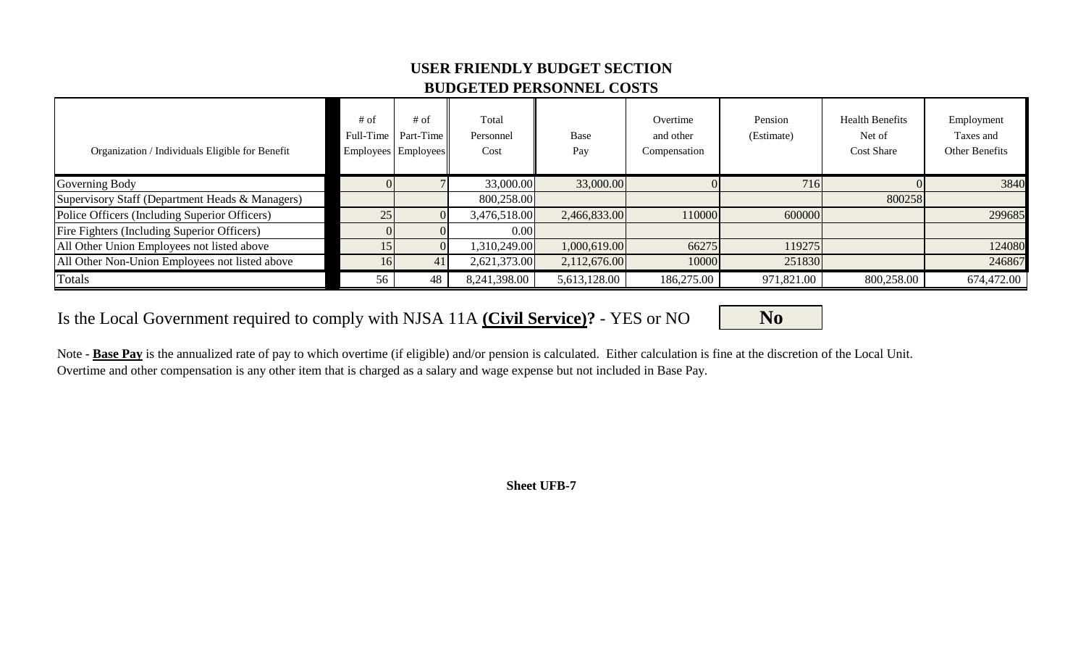### **USER FRIENDLY BUDGET SECTION BUDGETED PERSONNEL COSTS**

| Organization / Individuals Eligible for Benefit | $#$ of<br>Full-Time | $#$ of<br>Part-Time<br>Employees Employees | Total<br>Personnel<br>Cost | Base<br>Pay  | Overtime<br>and other<br>Compensation | Pension<br>(Estimate) | <b>Health Benefits</b><br>Net of<br><b>Cost Share</b> | Employment<br>Taxes and<br>Other Benefits |
|-------------------------------------------------|---------------------|--------------------------------------------|----------------------------|--------------|---------------------------------------|-----------------------|-------------------------------------------------------|-------------------------------------------|
| Governing Body                                  |                     |                                            | 33,000.00                  | 33,000.00    |                                       | 716                   |                                                       | 3840                                      |
| Supervisory Staff (Department Heads & Managers) |                     |                                            | 800,258.00                 |              |                                       |                       | 800258                                                |                                           |
| Police Officers (Including Superior Officers)   | 25                  |                                            | 3,476,518.00               | 2,466,833.00 | 110000                                | 600000                |                                                       | 299685                                    |
| Fire Fighters (Including Superior Officers)     |                     |                                            | 0.00                       |              |                                       |                       |                                                       |                                           |
| All Other Union Employees not listed above      | 15                  |                                            | ,310,249.00                | 1,000,619.00 | 66275                                 | 119275                |                                                       | 124080                                    |
| All Other Non-Union Employees not listed above  | 16 <sup> </sup>     | 41                                         | 2,621,373.00               | 2,112,676.00 | 10000                                 | 251830                |                                                       | 246867                                    |
| Totals                                          | 56                  | 48                                         | 8,241,398.00               | 5,613,128.00 | 186,275.00                            | 971,821.00            | 800,258.00                                            | 674,472.00                                |

Is the Local Government required to comply with NJSA 11A (Civil Service)? - YES or NO **No** 

Note - **Base Pay** is the annualized rate of pay to which overtime (if eligible) and/or pension is calculated. Either calculation is fine at the discretion of the Local Unit. Overtime and other compensation is any other item that is charged as a salary and wage expense but not included in Base Pay.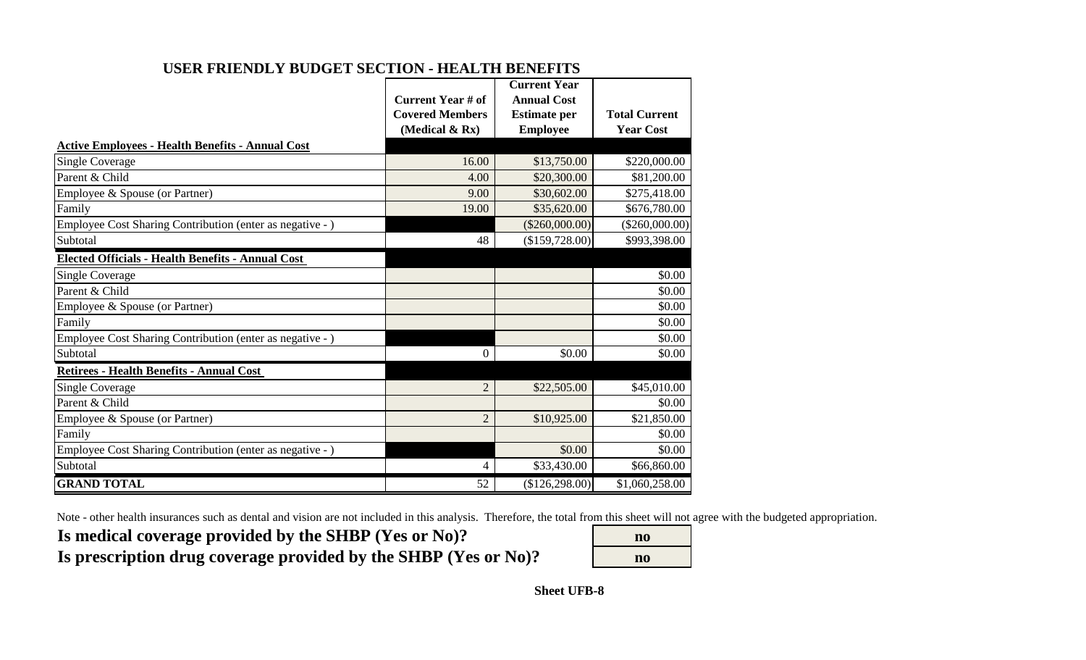| USER FRIENDLY BUDGET SECTION - HEALTH BENEFITS |  |
|------------------------------------------------|--|
|------------------------------------------------|--|

|                                                           |                          | <b>Current Year</b> |                      |
|-----------------------------------------------------------|--------------------------|---------------------|----------------------|
|                                                           | <b>Current Year # of</b> | <b>Annual Cost</b>  |                      |
|                                                           | <b>Covered Members</b>   | <b>Estimate per</b> | <b>Total Current</b> |
|                                                           | (Medical & Rx)           | <b>Employee</b>     | <b>Year Cost</b>     |
| <b>Active Employees - Health Benefits - Annual Cost</b>   |                          |                     |                      |
| <b>Single Coverage</b>                                    | 16.00                    | \$13,750.00         | \$220,000.00         |
| Parent & Child                                            | 4.00                     | \$20,300.00         | \$81,200.00          |
| Employee & Spouse (or Partner)                            | 9.00                     | \$30,602.00         | \$275,418.00         |
| Family                                                    | 19.00                    | \$35,620.00         | \$676,780.00         |
| Employee Cost Sharing Contribution (enter as negative - ) |                          | $(\$260,000.00)$    | $(\$260,000.00)$     |
| Subtotal                                                  | 48                       | (\$159,728.00)      | \$993,398.00         |
| <b>Elected Officials - Health Benefits - Annual Cost</b>  |                          |                     |                      |
| <b>Single Coverage</b>                                    |                          |                     | \$0.00               |
| Parent & Child                                            |                          |                     | \$0.00               |
| Employee & Spouse (or Partner)                            |                          |                     | \$0.00               |
| Family                                                    |                          |                     | \$0.00               |
| Employee Cost Sharing Contribution (enter as negative - ) |                          |                     | \$0.00               |
| Subtotal                                                  | 0                        | \$0.00              | \$0.00               |
| Retirees - Health Benefits - Annual Cost                  |                          |                     |                      |
| <b>Single Coverage</b>                                    | $\overline{2}$           | \$22,505.00         | \$45,010.00          |
| Parent & Child                                            |                          |                     | \$0.00               |
| Employee & Spouse (or Partner)                            | $\overline{2}$           | \$10,925.00         | \$21,850.00          |
| Family                                                    |                          |                     | \$0.00               |
| Employee Cost Sharing Contribution (enter as negative - ) |                          | \$0.00              | \$0.00               |
| Subtotal                                                  | 4                        | \$33,430.00         | \$66,860.00          |
| <b>GRAND TOTAL</b>                                        | 52                       | (\$126,298.00)      | \$1,060,258.00       |

Note - other health insurances such as dental and vision are not included in this analysis. Therefore, the total from this sheet will not agree with the budgeted appropriation.

Is medical coverage provided by the SHBP (Yes or No)? Is prescription drug coverage provided by the SHBP (Yes or No)?

| $\bf{no}$ |
|-----------|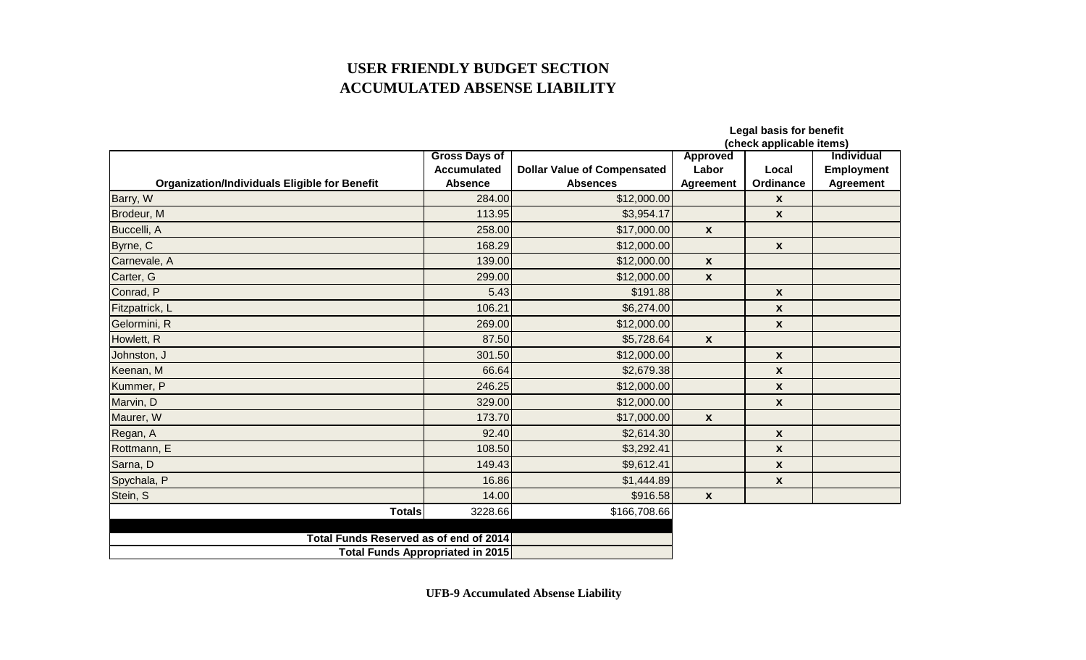## **USER FRIENDLY BUDGET SECTION ACCUMULATED ABSENSE LIABILITY**

|                                                      |                                         |                                    |                    | <b>Legal basis for benefit</b><br>(check applicable items) |                   |
|------------------------------------------------------|-----------------------------------------|------------------------------------|--------------------|------------------------------------------------------------|-------------------|
|                                                      | <b>Gross Days of</b>                    |                                    | <b>Approved</b>    |                                                            | <b>Individual</b> |
|                                                      | <b>Accumulated</b>                      | <b>Dollar Value of Compensated</b> | Labor              | Local                                                      | <b>Employment</b> |
| <b>Organization/Individuals Eligible for Benefit</b> | <b>Absence</b>                          | <b>Absences</b>                    | <b>Agreement</b>   | Ordinance                                                  | <b>Agreement</b>  |
| Barry, W                                             | 284.00                                  | \$12,000.00                        |                    | X                                                          |                   |
| Brodeur, M                                           | 113.95                                  | \$3,954.17                         |                    | $\mathbf{x}$                                               |                   |
| Buccelli, A                                          | 258.00                                  | \$17,000.00                        | $\pmb{\chi}$       |                                                            |                   |
| Byrne, C                                             | 168.29                                  | \$12,000.00                        |                    | $\boldsymbol{x}$                                           |                   |
| Carnevale, A                                         | 139.00                                  | \$12,000.00                        | $\boldsymbol{x}$   |                                                            |                   |
| Carter, G                                            | 299.00                                  | \$12,000.00                        | $\pmb{\mathsf{X}}$ |                                                            |                   |
| Conrad, P                                            | 5.43                                    | \$191.88                           |                    | $\mathbf{x}$                                               |                   |
| Fitzpatrick, L                                       | 106.21                                  | \$6,274.00                         |                    | $\pmb{\mathsf{x}}$                                         |                   |
| Gelormini, R                                         | 269.00                                  | \$12,000.00                        |                    | X                                                          |                   |
| Howlett, R                                           | 87.50                                   | \$5,728.64                         | $\boldsymbol{x}$   |                                                            |                   |
| Johnston, J                                          | 301.50                                  | \$12,000.00                        |                    | X                                                          |                   |
| Keenan, M                                            | 66.64                                   | \$2,679.38                         |                    | X                                                          |                   |
| Kummer, P                                            | 246.25                                  | \$12,000.00                        |                    | $\pmb{\mathsf{x}}$                                         |                   |
| Marvin, D                                            | 329.00                                  | \$12,000.00                        |                    | $\mathbf{x}$                                               |                   |
| Maurer, W                                            | 173.70                                  | \$17,000.00                        | $\boldsymbol{x}$   |                                                            |                   |
| Regan, A                                             | 92.40                                   | \$2,614.30                         |                    | $\pmb{\mathsf{x}}$                                         |                   |
| Rottmann, E                                          | 108.50                                  | \$3,292.41                         |                    | X                                                          |                   |
| Sarna, D                                             | 149.43                                  | \$9,612.41                         |                    | $\pmb{\mathsf{x}}$                                         |                   |
| Spychala, P                                          | 16.86                                   | \$1,444.89                         |                    | $\pmb{\mathsf{x}}$                                         |                   |
| Stein, S                                             | 14.00                                   | \$916.58                           | $\boldsymbol{x}$   |                                                            |                   |
| <b>Totals</b>                                        | 3228.66                                 | \$166,708.66                       |                    |                                                            |                   |
|                                                      |                                         |                                    |                    |                                                            |                   |
| Total Funds Reserved as of end of 2014               |                                         |                                    |                    |                                                            |                   |
|                                                      | <b>Total Funds Appropriated in 2015</b> |                                    |                    |                                                            |                   |

**UFB-9 Accumulated Absense Liability**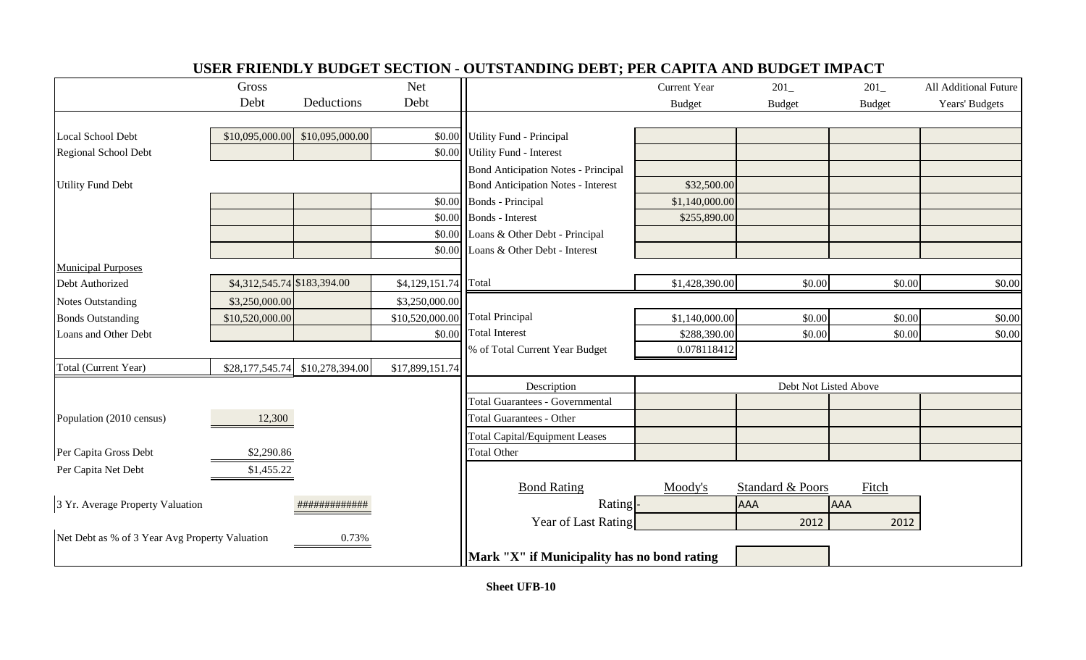|                                                         | Gross                       |                 | <b>Net</b>           |                                             | <b>Current Year</b>   | 201              | 201           | All Additional Future |
|---------------------------------------------------------|-----------------------------|-----------------|----------------------|---------------------------------------------|-----------------------|------------------|---------------|-----------------------|
|                                                         | Debt                        | Deductions      | Debt                 |                                             | <b>Budget</b>         | <b>Budget</b>    | <b>Budget</b> | Years' Budgets        |
|                                                         |                             |                 |                      |                                             |                       |                  |               |                       |
| Local School Debt                                       | \$10,095,000.00             | \$10,095,000.00 | \$0.00               | <b>Utility Fund - Principal</b>             |                       |                  |               |                       |
| Regional School Debt                                    |                             |                 | \$0.00               | <b>Utility Fund - Interest</b>              |                       |                  |               |                       |
|                                                         |                             |                 |                      | <b>Bond Anticipation Notes - Principal</b>  |                       |                  |               |                       |
| <b>Utility Fund Debt</b>                                |                             |                 |                      | <b>Bond Anticipation Notes - Interest</b>   | \$32,500.00           |                  |               |                       |
|                                                         |                             |                 | \$0.00               | <b>Bonds</b> - Principal                    | \$1,140,000.00        |                  |               |                       |
|                                                         |                             |                 | \$0.00               | <b>Bonds</b> - Interest                     | \$255,890.00          |                  |               |                       |
|                                                         |                             |                 | \$0.00               | Loans & Other Debt - Principal              |                       |                  |               |                       |
|                                                         |                             |                 | \$0.00               | Loans & Other Debt - Interest               |                       |                  |               |                       |
| <b>Municipal Purposes</b>                               |                             |                 |                      |                                             |                       |                  |               |                       |
| Debt Authorized                                         | \$4,312,545.74 \$183,394.00 |                 | \$4,129,151.74 Total |                                             | \$1,428,390.00        | \$0.00           | \$0.00        | \$0.00                |
| <b>Notes Outstanding</b>                                | \$3,250,000.00              |                 | \$3,250,000.00       |                                             |                       |                  |               |                       |
| <b>Bonds Outstanding</b>                                | \$10,520,000.00             |                 | \$10,520,000.00      | <b>Total Principal</b>                      | \$1,140,000.00        | \$0.00           | \$0.00        | \$0.00                |
| Loans and Other Debt                                    |                             |                 | \$0.00               | <b>Total Interest</b>                       | \$288,390.00          | \$0.00           | \$0.00        | \$0.00                |
|                                                         |                             |                 |                      | % of Total Current Year Budget              | 0.078118412           |                  |               |                       |
| Total (Current Year)                                    | \$28,177,545.74             | \$10,278,394.00 | \$17,899,151.74      |                                             |                       |                  |               |                       |
|                                                         |                             |                 |                      | Description                                 | Debt Not Listed Above |                  |               |                       |
|                                                         |                             |                 |                      | <b>Total Guarantees - Governmental</b>      |                       |                  |               |                       |
| Population (2010 census)                                | 12,300                      |                 |                      | <b>Total Guarantees - Other</b>             |                       |                  |               |                       |
|                                                         |                             |                 |                      | <b>Total Capital/Equipment Leases</b>       |                       |                  |               |                       |
| Per Capita Gross Debt                                   | \$2,290.86                  |                 |                      | <b>Total Other</b>                          |                       |                  |               |                       |
| Per Capita Net Debt                                     | \$1,455.22                  |                 |                      |                                             |                       |                  |               |                       |
|                                                         |                             |                 |                      | <b>Bond Rating</b>                          | Moody's               | Standard & Poors | Fitch         |                       |
| 3 Yr. Average Property Valuation                        |                             | #############   |                      | Rating <sup>-</sup>                         |                       | <b>AAA</b>       | <b>AAA</b>    |                       |
|                                                         |                             |                 |                      | Year of Last Rating                         |                       | 2012             | 2012          |                       |
| Net Debt as % of 3 Year Avg Property Valuation<br>0.73% |                             |                 |                      |                                             |                       |                  |               |                       |
|                                                         |                             |                 |                      | Mark "X" if Municipality has no bond rating |                       |                  |               |                       |

## **USER FRIENDLY BUDGET SECTION - OUTSTANDING DEBT; PER CAPITA AND BUDGET IMPACT**